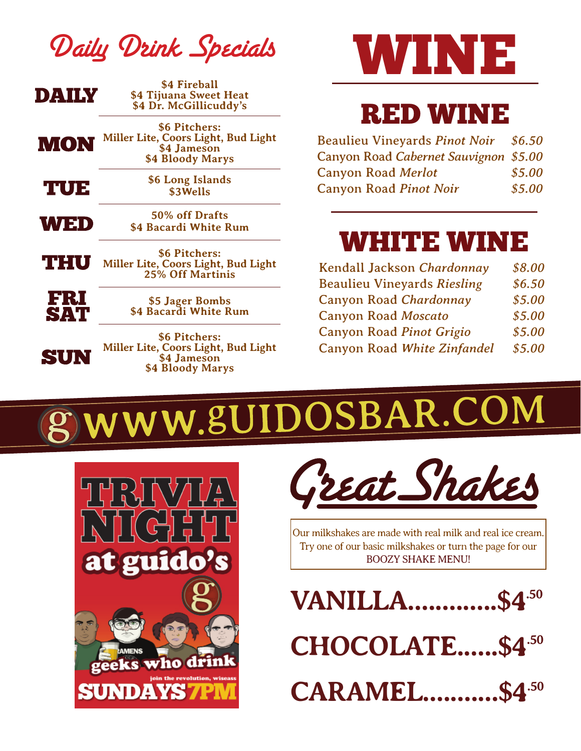|  |  | Daily Drink Specials |
|--|--|----------------------|
|--|--|----------------------|

| DAIIN             | \$4 Fireball<br>\$4 Tijuana Sweet Heat<br>\$4 Dr. McGillicuddy's                        |
|-------------------|-----------------------------------------------------------------------------------------|
| MON               | \$6 Pitchers:<br>Miller Lite, Coors Light, Bud Light<br>\$4 Jameson<br>\$4 Bloody Marys |
| TUE               | \$6 Long Islands<br>\$3Wells                                                            |
| WED               | 50% off Drafts<br>\$4 Bacardi White Rum                                                 |
| THU               | \$6 Pitchers:<br>Miller Lite, Coors Light, Bud Light<br><b>25% Off Martinis</b>         |
| FRI<br><b>SAT</b> | \$5 Jager Bombs<br>\$4 Bacardi White Rum                                                |
| SUN               | \$6 Pitchers:<br>Miller Lite, Coors Light, Bud Light<br>\$4 Jameson<br>\$4 Bloody Marys |



## RED WINE

| <b>Beaulieu Vineyards Pinot Noir</b>  | \$6.50 |
|---------------------------------------|--------|
| Canyon Road Cabernet Sauvignon \$5.00 |        |
| <b>Canyon Road Merlot</b>             | \$5.00 |
| <b>Canyon Road Pinot Noir</b>         | \$5.00 |

### WHITE WINE

| Kendall Jackson Chardonnay         | \$8.00 |
|------------------------------------|--------|
| <b>Beaulieu Vineyards Riesling</b> | \$6.50 |
| Canyon Road Chardonnay             | \$5.00 |
| <b>Canyon Road Moscato</b>         | \$5.00 |
| Canyon Road Pinot Grigio           | \$5.00 |
| Canyon Road White Zinfandel        | \$5.00 |

## WWW.8UIDOSBAR.COM





Our milkshakes are made with real milk and real ice cream. Try one of our basic milkshakes or turn the page for our BOOZY SHAKE MENU!

**VANILLA.............\$4.50 CHOCOLATE......\$4.50 CARAMEL...........\$4.50**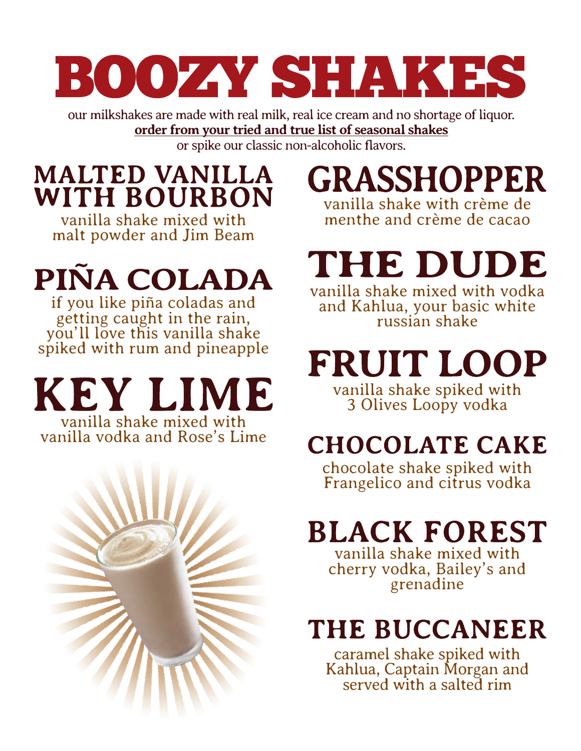# BOOZAY SHAKES

our milkshakes are made with real milk, real ice cream and no shortage of liquor. **order from your tried and true list of seasonal shakes** or spike our classic non-alcoholic flavors.

## **MALTED VANILLA WITH BOURBON**

vanilla shake mixed with malt powder and Jim Beam

## PIÑA COLADA

if you like piña coladas and getting caught in the rain, you'll love this vanilla shake spiked with rum and pineapple

KEY LIME vanilla shake mixed with

vanilla vodka and Rose's Lime



## **GRASSHOPPER**

vanilla shake with crème de menthe and crème de cacao

### THE DUDE vanilla shake mixed with vodka

and Kahlua, your basic white russian shake

FRUIT LOOP vanilla shake spiked with 3 Olives Loopy vodka

## **CHOCOLATE CAKE**

chocolate shake spiked with Frangelico and citrus vodka

## **BLACK FOREST**

vanilla shake mixed with cherry vodka, Bailey's and grenadine

## THE BUCCANEER

caramel shake spiked with Kahlua, Captain Morgan and<br>served with a salted rim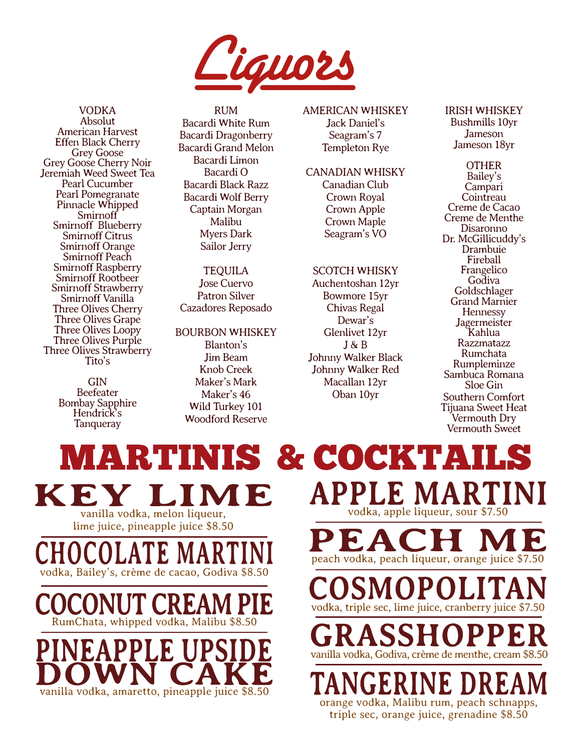

VODKA Absolut American Harvest Effen Black Cherry Grey Goose Grey Goose Cherry Noir Jeremiah Weed Sweet Tea Pearl Cucumber Pearl Pomegranate Pinnacle Whipped Smirnoff Smirnoff Blueberry Smirnoff Citrus Smirnoff Orange Smirnoff Peach Smirnoff Raspberry Smirnoff Rootbeer Smirnoff Strawberry Smirnoff Vanilla Three Olives Cherry Three Olives Grape Three Olives Loopy Three Olives Purple Three Olives Strawberry Tito's

> GIN Beefeater Bombay Sapphire Hendrick's **Tanqueray**

RUM Bacardi White Rum Bacardi Dragonberry Bacardi Grand Melon Bacardi Limon Bacardi O Bacardi Black Razz Bacardi Wolf Berry Captain Morgan Malibu Myers Dark Sailor Jerry

**TEQUILA** Jose Cuervo Patron Silver Cazadores Reposado

BOURBON WHISKEY Blanton's Jim Beam Knob Creek Maker's Mark Maker's 46 Wild Turkey 101 Woodford Reserve

MARTINIS & COCKTA

#### AMERICAN WHISKEY

Jack Daniel's Seagram's 7 Templeton Rye

CANADIAN WHISKY Canadian Club

> Crown Royal Crown Apple Crown Maple Seagram's VO

#### SCOTCH WHISKY

Auchentoshan 12yr Bowmore 15yr Chivas Regal Dewar's Glenlivet 12yr J & B Johnny Walker Black Johnny Walker Red Macallan 12yr Oban 10yr

IRISH WHISKEY Bushmills 10yr **Jameson** Jameson 18yr

**OTHER** Bailey's Campari **Cointreau** Creme de Cacao Creme de Menthe Disaronno Dr. McGillicuddy's Drambuie Fireball Frangelico Godiva Goldschlager Grand Marnier **Hennessy Jagermeister** Kahlua Razzmatazz Rumchata Rumpleminze Sambuca Romana Sloe Gin Southern Comfort Tijuana Sweet Heat Vermouth Dry Vermouth Sweet

 $\mathbf{a}$ vanilla vodka, melon liqueur, lime juice, pineapple juice \$8.50

vodka, Bailey's, crème de cacao, Godiva \$8.50

RumChata, whipped vodka, Malibu \$8.50

vanilla vodka, amaretto, pineapple juice \$8.50

5 vodka, apple liqueur, sour \$7.50 peach vodka, peach liqueur, orange juice \$7.50 vodka, triple sec, lime juice, cranberry juice \$7.50

vanilla vodka, Godiva, crème de menthe, cream \$8.50

**JGERINE DR** orange vodka, Malibu rum, peach schnapps,

triple sec, orange juice, grenadine \$8.50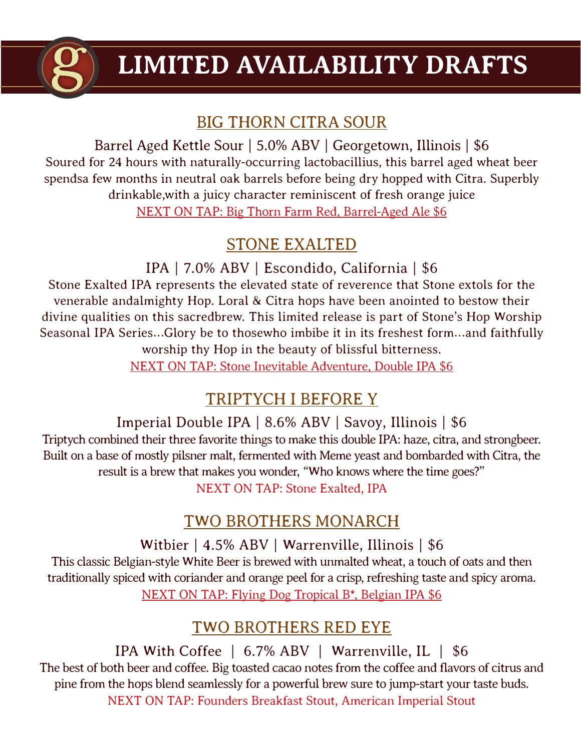

## **LIMITED AVAILABILITY DRAFTS**

#### BIG THORN CITRA SOUR

Barrel Aged Kettle Sour | 5.0% ABV | Georgetown, Illinois | \$6 Soured for 24 hours with naturally-occurring lactobacillius, this barrel aged wheat beer spendsa few months in neutral oak barrels before being dry hopped with Citra. Superbly drinkable,with a juicy character reminiscent of fresh orange juice NEXT ON TAP: Big Thorn Farm Red, Barrel-Aged Ale \$6

#### STONE EXALTED

IPA | 7.0% ABV | Escondido, California | \$6

Stone Exalted IPA represents the elevated state of reverence that Stone extols for the venerable andalmighty Hop. Loral & Citra hops have been anointed to bestow their divine qualities on this sacredbrew. This limited release is part of Stone's Hop Worship Seasonal IPA Series…Glory be to thosewho imbibe it in its freshest form…and faithfully worship thy Hop in the beauty of blissful bitterness. NEXT ON TAP: Stone Inevitable Adventure, Double IPA \$6

#### TRIPTYCH I BEFORE Y

#### Imperial Double IPA | 8.6% ABV | Savoy, Illinois | \$6

Triptych combined their three favorite things to make this double IPA: haze, citra, and strongbeer. Built on a base of mostly pilsner malt, fermented with Meme yeast and bombarded with Citra, the result is a brew that makes you wonder, "Who knows where the time goes?" NEXT ON TAP: Stone Exalted, IPA

#### TWO BROTHERS MONARCH

Witbier | 4.5% ABV | Warrenville, Illinois | \$6 This classic Belgian-style White Beer is brewed with unmalted wheat, a touch of oats and then

traditionally spiced with coriander and orange peel for a crisp, refreshing taste and spicy aroma. NEXT ON TAP: Flying Dog Tropical B\*, Belgian IPA \$6

#### TWO BROTHERS RED EYE

IPA With Coffee | 6.7% ABV | Warrenville, IL | \$6 The best of both beer and coffee. Big toasted cacao notes from the coffee and flavors of citrus and pine from the hops blend seamlessly for a powerful brew sure to jump-start your taste buds. NEXT ON TAP: Founders Breakfast Stout, American Imperial Stout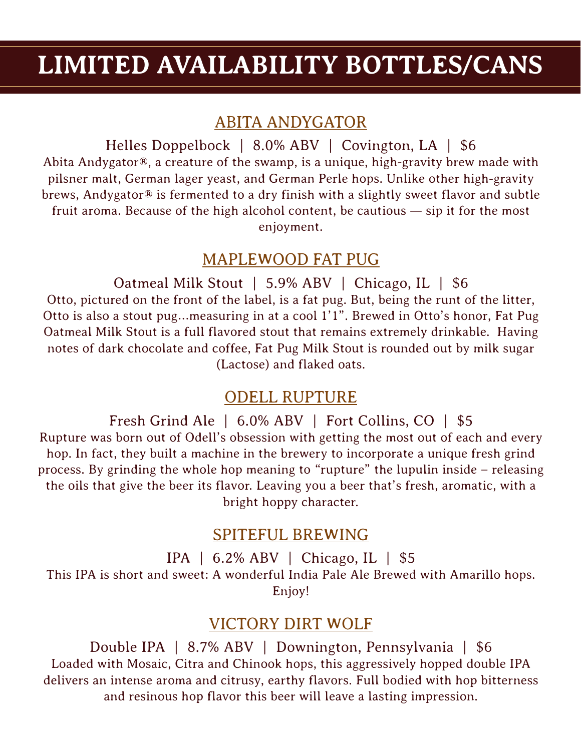### **LIMITED AVAILABILITY BOTTLES/CANS**

#### ABITA ANDYGATOR

Helles Doppelbock | 8.0% ABV | Covington, LA | \$6 Abita Andygator®, a creature of the swamp, is a unique, high-gravity brew made with pilsner malt, German lager yeast, and German Perle hops. Unlike other high-gravity brews, Andygator® is fermented to a dry finish with a slightly sweet flavor and subtle fruit aroma. Because of the high alcohol content, be cautious — sip it for the most enjoyment.

#### MAPLEWOOD FAT PUG

Oatmeal Milk Stout | 5.9% ABV | Chicago, IL | \$6 Otto, pictured on the front of the label, is a fat pug. But, being the runt of the litter, Otto is also a stout pug…measuring in at a cool 1'1". Brewed in Otto's honor, Fat Pug Oatmeal Milk Stout is a full flavored stout that remains extremely drinkable. Having notes of dark chocolate and coffee, Fat Pug Milk Stout is rounded out by milk sugar (Lactose) and flaked oats.

#### ODELL RUPTURE

Fresh Grind Ale | 6.0% ABV | Fort Collins, CO | \$5 Rupture was born out of Odell's obsession with getting the most out of each and every hop. In fact, they built a machine in the brewery to incorporate a unique fresh grind process. By grinding the whole hop meaning to "rupture" the lupulin inside – releasing the oils that give the beer its flavor. Leaving you a beer that's fresh, aromatic, with a bright hoppy character.

#### SPITEFUL BREWING

IPA | 6.2% ABV | Chicago, IL | \$5 This IPA is short and sweet: A wonderful India Pale Ale Brewed with Amarillo hops. Enjoy!

#### VICTORY DIRT WOLF

Double IPA | 8.7% ABV | Downington, Pennsylvania | \$6 Loaded with Mosaic, Citra and Chinook hops, this aggressively hopped double IPA delivers an intense aroma and citrusy, earthy flavors. Full bodied with hop bitterness and resinous hop flavor this beer will leave a lasting impression.